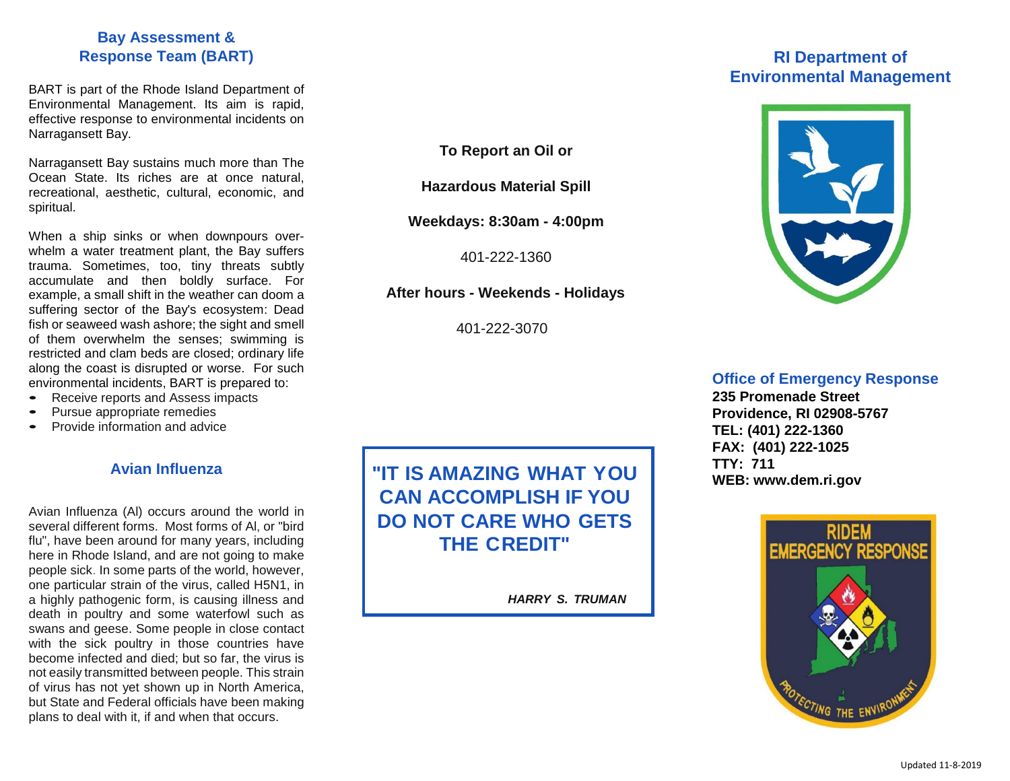### **Bay Assessment & Response Team (BART)**

BART is part of the Rhode Island Department of Environmental Management. Its aim is rapid, effective response to environmental incidents on Narragansett Bay.

Narragansett Bay sustains much more than The Ocean State. Its riches are at once natural, recreational, aesthetic, cultural, economic, and spiritual.

When a ship sinks or when downpours overwhelm a water treatment plant, the Bay suffers trauma. Sometimes, too, tiny threats subtly accumulate and then boldly surface. For example, a small shift in the weather can doom a suffering sector of the Bay's ecosystem: Dead fish or seaweed wash ashore; the sight and smell of them overwhelm the senses; swimming is restricted and clam beds are closed; ordinary life along the coast is disrupted or worse. For such environmental incidents, BART is prepared to:

- Receive reports and Assess impacts
- Pursue appropriate remedies
- Provide information and advice

#### **Avian Influenza**

Avian Influenza (Al) occurs around the world in several different forms. Most forms of Al, or "bird flu", have been around for many years, including here in Rhode Island, and are not going to make people sick. In some parts of the world, however, one particular strain of the virus, called H5N1, in a highly pathogenic form, is causing illness and death in poultry and some waterfowl such as swans and geese. Some people in close contact with the sick poultry in those countries have become infected and died; but so far, the virus is not easily transmitted between people. This strain of virus has not yet shown up in North America, but State and Federal officials have been making plans to deal with it, if and when that occurs.

**To Report an Oil or**

**Hazardous Material Spill**

**Weekdays: 8:30am - 4:00pm**

401-222-1360

**After hours - Weekends - Holidays**

401-222-3070

# **RI Department of Environmental Management**



#### **Office of Emergency Response**

**235 Promenade Street Providence, RI 02908-5767 TEL: (401) 222-1360 FAX: (401) 222-1025 TTY: 711 [WEB: www.dem.ri.gov](http://WEB:%20www.dem.ri.gov)**



**"IT IS AMAZING WHAT YOU CAN ACCOMPLISH IF YOU DO NOT CARE WHO GETS THE CREDIT"**

*HARRY S. TRUMAN*